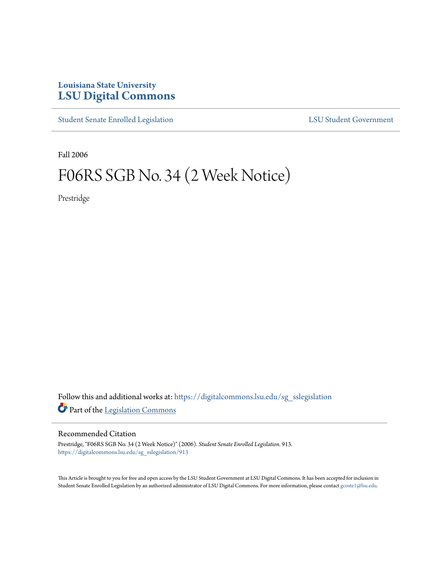## **Louisiana State University [LSU Digital Commons](https://digitalcommons.lsu.edu?utm_source=digitalcommons.lsu.edu%2Fsg_sslegislation%2F913&utm_medium=PDF&utm_campaign=PDFCoverPages)**

[Student Senate Enrolled Legislation](https://digitalcommons.lsu.edu/sg_sslegislation?utm_source=digitalcommons.lsu.edu%2Fsg_sslegislation%2F913&utm_medium=PDF&utm_campaign=PDFCoverPages) [LSU Student Government](https://digitalcommons.lsu.edu/sg?utm_source=digitalcommons.lsu.edu%2Fsg_sslegislation%2F913&utm_medium=PDF&utm_campaign=PDFCoverPages)

Fall 2006

## F06RS SGB No. 34 (2 Week Notice)

Prestridge

Follow this and additional works at: [https://digitalcommons.lsu.edu/sg\\_sslegislation](https://digitalcommons.lsu.edu/sg_sslegislation?utm_source=digitalcommons.lsu.edu%2Fsg_sslegislation%2F913&utm_medium=PDF&utm_campaign=PDFCoverPages) Part of the [Legislation Commons](http://network.bepress.com/hgg/discipline/859?utm_source=digitalcommons.lsu.edu%2Fsg_sslegislation%2F913&utm_medium=PDF&utm_campaign=PDFCoverPages)

## Recommended Citation

Prestridge, "F06RS SGB No. 34 (2 Week Notice)" (2006). *Student Senate Enrolled Legislation*. 913. [https://digitalcommons.lsu.edu/sg\\_sslegislation/913](https://digitalcommons.lsu.edu/sg_sslegislation/913?utm_source=digitalcommons.lsu.edu%2Fsg_sslegislation%2F913&utm_medium=PDF&utm_campaign=PDFCoverPages)

This Article is brought to you for free and open access by the LSU Student Government at LSU Digital Commons. It has been accepted for inclusion in Student Senate Enrolled Legislation by an authorized administrator of LSU Digital Commons. For more information, please contact [gcoste1@lsu.edu.](mailto:gcoste1@lsu.edu)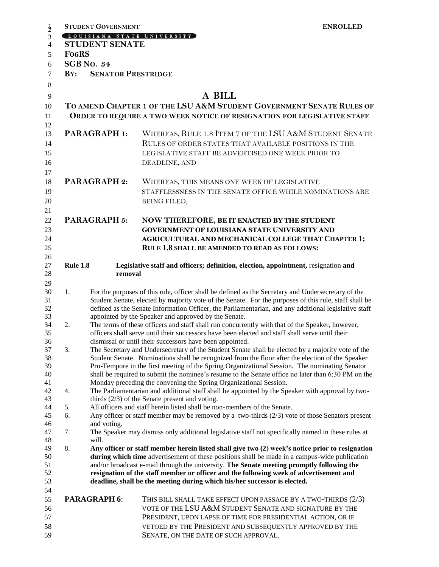| $\frac{1}{2}$  |                            | <b>STUDENT GOVERNMENT</b>                                                                                                                                    | <b>ENROLLED</b>                                                                                    |  |  |  |
|----------------|----------------------------|--------------------------------------------------------------------------------------------------------------------------------------------------------------|----------------------------------------------------------------------------------------------------|--|--|--|
|                | LOUISIANA STATE UNIVERSITY |                                                                                                                                                              |                                                                                                    |  |  |  |
| $\overline{4}$ | <b>STUDENT SENATE</b>      |                                                                                                                                                              |                                                                                                    |  |  |  |
| 5              |                            | <b>FO6RS</b>                                                                                                                                                 |                                                                                                    |  |  |  |
| 6              |                            | <b>SGB No. 34</b>                                                                                                                                            |                                                                                                    |  |  |  |
| $\tau$         |                            | <b>SENATOR PRESTRIDGE</b><br>$\mathbf{B} \mathbf{Y}$ :                                                                                                       |                                                                                                    |  |  |  |
| $\,8\,$        |                            |                                                                                                                                                              |                                                                                                    |  |  |  |
| 9              |                            |                                                                                                                                                              | A BILL                                                                                             |  |  |  |
|                |                            | TO AMEND CHAPTER 1 OF THE LSU A&M STUDENT GOVERNMENT SENATE RULES OF                                                                                         |                                                                                                    |  |  |  |
| 10             |                            |                                                                                                                                                              |                                                                                                    |  |  |  |
| 11             |                            |                                                                                                                                                              | ORDER TO REQUIRE A TWO WEEK NOTICE OF RESIGNATION FOR LEGISLATIVE STAFF                            |  |  |  |
| 12             |                            | PARAGRAPH 1:                                                                                                                                                 |                                                                                                    |  |  |  |
| 13             |                            |                                                                                                                                                              | WHEREAS, RULE 1.8 ITEM 7 OF THE LSU A&M STUDENT SENATE                                             |  |  |  |
| 14             |                            |                                                                                                                                                              | RULES OF ORDER STATES THAT AVAILABLE POSITIONS IN THE                                              |  |  |  |
| 15             |                            |                                                                                                                                                              | LEGISLATIVE STAFF BE ADVERTISED ONE WEEK PRIOR TO                                                  |  |  |  |
| 16             |                            |                                                                                                                                                              | DEADLINE, AND                                                                                      |  |  |  |
| 17             |                            |                                                                                                                                                              |                                                                                                    |  |  |  |
| 18             |                            | <b>PARAGRAPH 2:</b>                                                                                                                                          | WHEREAS, THIS MEANS ONE WEEK OF LEGISLATIVE                                                        |  |  |  |
| 19             |                            |                                                                                                                                                              | STAFFLESSNESS IN THE SENATE OFFICE WHILE NOMINATIONS ARE                                           |  |  |  |
| 20             |                            |                                                                                                                                                              | BEING FILED,                                                                                       |  |  |  |
| 21             |                            |                                                                                                                                                              |                                                                                                    |  |  |  |
| 22             |                            | <b>PARAGRAPH 5:</b>                                                                                                                                          | NOW THEREFORE, BE IT ENACTED BY THE STUDENT                                                        |  |  |  |
| 23             |                            |                                                                                                                                                              | <b>GOVERNMENT OF LOUISIANA STATE UNIVERSITY AND</b>                                                |  |  |  |
| 24             |                            |                                                                                                                                                              | <b>AGRICULTURAL AND MECHANICAL COLLEGE THAT CHAPTER 1;</b>                                         |  |  |  |
| 25             |                            |                                                                                                                                                              | RULE 1.8 SHALL BE AMENDED TO READ AS FOLLOWS:                                                      |  |  |  |
| 26             |                            |                                                                                                                                                              |                                                                                                    |  |  |  |
| 27             | <b>Rule 1.8</b>            |                                                                                                                                                              | Legislative staff and officers; definition, election, appointment, resignation and                 |  |  |  |
| 28             |                            | removal                                                                                                                                                      |                                                                                                    |  |  |  |
| 29             |                            |                                                                                                                                                              |                                                                                                    |  |  |  |
| 30             | 1.                         | For the purposes of this rule, officer shall be defined as the Secretary and Undersecretary of the                                                           |                                                                                                    |  |  |  |
| 31             |                            | Student Senate, elected by majority vote of the Senate. For the purposes of this rule, staff shall be                                                        |                                                                                                    |  |  |  |
| 32<br>33       |                            | defined as the Senate Information Officer, the Parliamentarian, and any additional legislative staff<br>appointed by the Speaker and approved by the Senate. |                                                                                                    |  |  |  |
| 34             | 2.                         | The terms of these officers and staff shall run concurrently with that of the Speaker, however,                                                              |                                                                                                    |  |  |  |
| 35             |                            |                                                                                                                                                              | officers shall serve until their successors have been elected and staff shall serve until their    |  |  |  |
| 36             |                            |                                                                                                                                                              | dismissal or until their successors have been appointed.                                           |  |  |  |
| 37             | 3.                         |                                                                                                                                                              | The Secretary and Undersecretary of the Student Senate shall be elected by a majority vote of the  |  |  |  |
| 38             |                            |                                                                                                                                                              | Student Senate. Nominations shall be recognized from the floor after the election of the Speaker   |  |  |  |
| 39             |                            |                                                                                                                                                              | Pro-Tempore in the first meeting of the Spring Organizational Session. The nominating Senator      |  |  |  |
| 40             |                            |                                                                                                                                                              | shall be required to submit the nominee's resume to the Senate office no later than 6:30 PM on the |  |  |  |
| 41             |                            | Monday preceding the convening the Spring Organizational Session.                                                                                            |                                                                                                    |  |  |  |
| 42             | 4.                         | The Parliamentarian and additional staff shall be appointed by the Speaker with approval by two-                                                             |                                                                                                    |  |  |  |
| 43             |                            | thirds $(2/3)$ of the Senate present and voting.                                                                                                             |                                                                                                    |  |  |  |
| 44<br>45       | 5.<br>6.                   | All officers and staff herein listed shall be non-members of the Senate.                                                                                     |                                                                                                    |  |  |  |
| 46             |                            | Any officer or staff member may be removed by a two-thirds (2/3) vote of those Senators present<br>and voting.                                               |                                                                                                    |  |  |  |
| 47             | 7.                         | The Speaker may dismiss only additional legislative staff not specifically named in these rules at                                                           |                                                                                                    |  |  |  |
| 48             |                            | will.                                                                                                                                                        |                                                                                                    |  |  |  |
| 49             | 8.                         | Any officer or staff member herein listed shall give two (2) week's notice prior to resignation                                                              |                                                                                                    |  |  |  |
| 50             |                            | during which time advertisement of these positions shall be made in a campus-wide publication                                                                |                                                                                                    |  |  |  |
| 51             |                            | and/or broadcast e-mail through the university. The Senate meeting promptly following the                                                                    |                                                                                                    |  |  |  |
| 52             |                            |                                                                                                                                                              | resignation of the staff member or officer and the following week of advertisement and             |  |  |  |
| 53             |                            |                                                                                                                                                              | deadline, shall be the meeting during which his/her successor is elected.                          |  |  |  |
| 54             |                            |                                                                                                                                                              |                                                                                                    |  |  |  |
| 55             |                            | <b>PARAGRAPH 6:</b>                                                                                                                                          | THIS BILL SHALL TAKE EFFECT UPON PASSAGE BY A TWO-THIRDS $(2/3)$                                   |  |  |  |
| 56             |                            |                                                                                                                                                              | VOTE OF THE LSU A&M STUDENT SENATE AND SIGNATURE BY THE                                            |  |  |  |
| 57             |                            |                                                                                                                                                              | PRESIDENT, UPON LAPSE OF TIME FOR PRESIDENTIAL ACTION, OR IF                                       |  |  |  |
| 58             |                            |                                                                                                                                                              | VETOED BY THE PRESIDENT AND SUBSEQUENTLY APPROVED BY THE                                           |  |  |  |
| 59             |                            |                                                                                                                                                              | SENATE, ON THE DATE OF SUCH APPROVAL.                                                              |  |  |  |